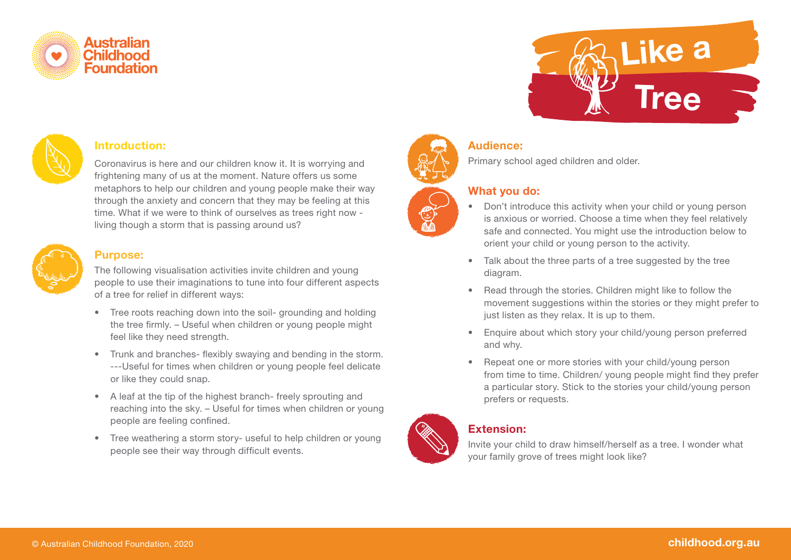



#### **Introduction:**

Coronavirus is here and our children know it. It is worrying and frightening many of us at the moment. Nature offers us some metaphors to help our children and young people make their way through the anxiety and concern that they may be feeling at this time. What if we were to think of ourselves as trees right now living though a storm that is passing around us?



#### **Purpose:**

The following visualisation activities invite children and young people to use their imaginations to tune into four different aspects of a tree for relief in different ways:

- Tree roots reaching down into the soil- grounding and holding the tree firmly. – Useful when children or young people might feel like they need strength.
- Trunk and branches- flexibly swaying and bending in the storm. ---Useful for times when children or young people feel delicate or like they could snap.
- A leaf at the tip of the highest branch- freely sprouting and reaching into the sky. – Useful for times when children or young people are feeling confined.
- Tree weathering a storm story- useful to help children or young people see their way through difficult events.



## **Audience:**

Primary school aged children and older.

### **What you do:**

• Don't introduce this activity when your child or young person is anxious or worried. Choose a time when they feel relatively safe and connected. You might use the introduction below to orient your child or young person to the activity.

**Like a**

**Tree**

- Talk about the three parts of a tree suggested by the tree diagram.
- Read through the stories. Children might like to follow the movement suggestions within the stories or they might prefer to just listen as they relax. It is up to them.
- Enquire about which story your child/young person preferred and why.
- Repeat one or more stories with your child/young person from time to time. Children/ young people might find they prefer a particular story. Stick to the stories your child/young person prefers or requests.



# **Extension:**

Invite your child to draw himself/herself as a tree. I wonder what your family grove of trees might look like?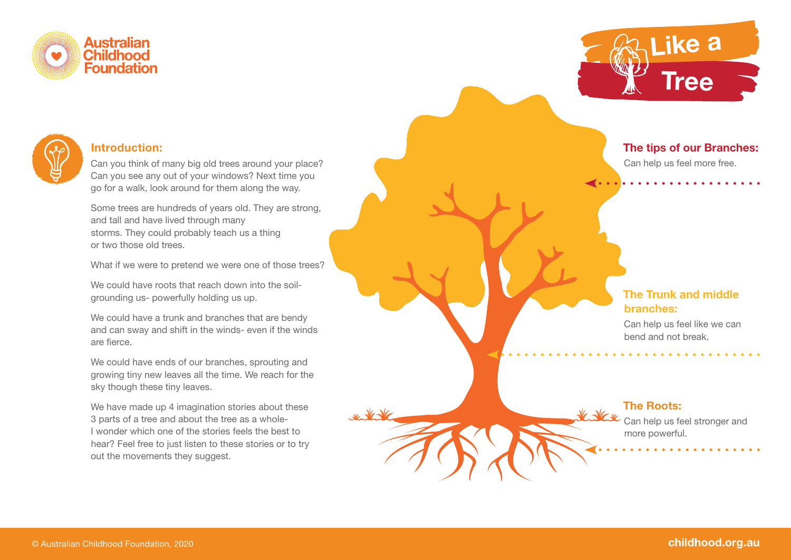





#### **Introduction:**

Can you think of many big old trees around your place? Can you see any out of your windows? Next time you go for a walk, look around for them along the way.

Some trees are hundreds of years old. They are strong, and tall and have lived through many storms. They could probably teach us a thing or two those old trees.

What if we were to pretend we were one of those trees?

We could have roots that reach down into the soilgrounding us- powerfully holding us up.

We could have a trunk and branches that are bendy and can sway and shift in the winds- even if the winds are fierce.

We could have ends of our branches, sprouting and growing tiny new leaves all the time. We reach for the sky though these tiny leaves.

We have made up 4 imagination stories about these 3 parts of a tree and about the tree as a whole-I wonder which one of the stories feels the best to hear? Feel free to just listen to these stories or to try out the movements they suggest.

**The tips of our Branches:**

Can help us feel more free.

# **The Trunk and middle branches:**

Can help us feel like we can bend and not break.

# **The Roots:**

Can help us feel stronger and more powerful.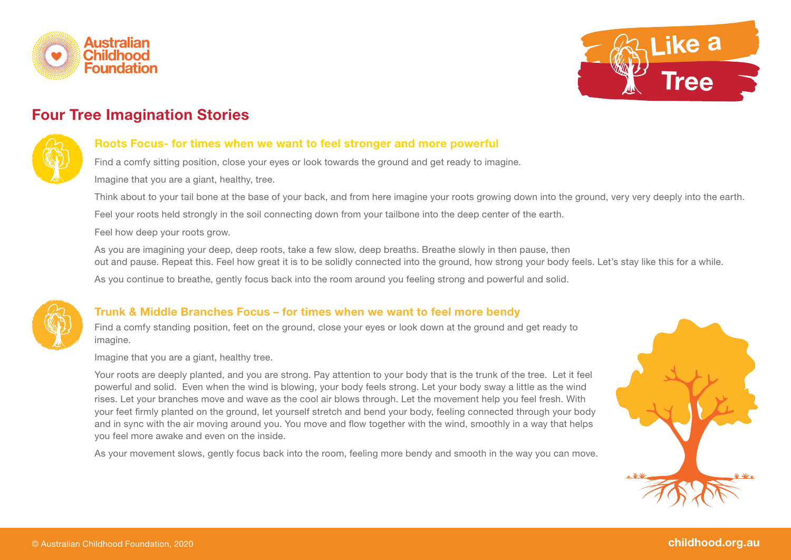



# **Four Tree Imagination Stories**



#### **Roots Focus- for times when we want to feel stronger and more powerful**

Find a comfy sitting position, close your eyes or look towards the ground and get ready to imagine.

Imagine that you are a giant, healthy, tree.

Think about to your tail bone at the base of your back, and from here imagine your roots growing down into the ground, very very deeply into the earth.

Feel your roots held strongly in the soil connecting down from your tailbone into the deep center of the earth.

Feel how deep your roots grow.

As you are imagining your deep, deep roots, take a few slow, deep breaths. Breathe slowly in then pause, then out and pause. Repeat this. Feel how great it is to be solidly connected into the ground, how strong your body feels. Let's stay like this for a while.

As you continue to breathe, gently focus back into the room around you feeling strong and powerful and solid.



## **Trunk & Middle Branches Focus – for times when we want to feel more bendy**

Find a comfy standing position, feet on the ground, close your eyes or look down at the ground and get ready to imagine.

Imagine that you are a giant, healthy tree.

Your roots are deeply planted, and you are strong. Pay attention to your body that is the trunk of the tree. Let it feel powerful and solid. Even when the wind is blowing, your body feels strong. Let your body sway a little as the wind rises. Let your branches move and wave as the cool air blows through. Let the movement help you feel fresh. With your feet firmly planted on the ground, let yourself stretch and bend your body, feeling connected through your body and in sync with the air moving around you. You move and flow together with the wind, smoothly in a way that helps you feel more awake and even on the inside.

As your movement slows, gently focus back into the room, feeling more bendy and smooth in the way you can move.